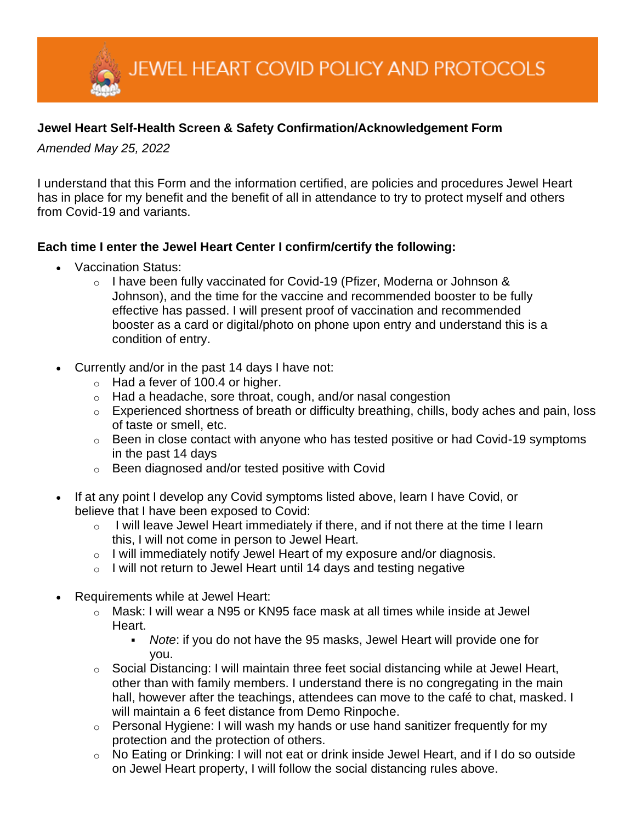JEWEL HEART COVID POLICY AND PROTOCOLS

## **Jewel Heart Self-Health Screen & Safety Confirmation/Acknowledgement Form**

*Amended May 25, 2022*

I understand that this Form and the information certified, are policies and procedures Jewel Heart has in place for my benefit and the benefit of all in attendance to try to protect myself and others from Covid-19 and variants.

## **Each time I enter the Jewel Heart Center I confirm/certify the following:**

- Vaccination Status:
	- o I have been fully vaccinated for Covid-19 (Pfizer, Moderna or Johnson & Johnson), and the time for the vaccine and recommended booster to be fully effective has passed. I will present proof of vaccination and recommended booster as a card or digital/photo on phone upon entry and understand this is a condition of entry.
- Currently and/or in the past 14 days I have not:
	- $\circ$  Had a fever of 100.4 or higher.
	- o Had a headache, sore throat, cough, and/or nasal congestion
	- o Experienced shortness of breath or difficulty breathing, chills, body aches and pain, loss of taste or smell, etc.
	- $\circ$  Been in close contact with anyone who has tested positive or had Covid-19 symptoms in the past 14 days
	- o Been diagnosed and/or tested positive with Covid
- If at any point I develop any Covid symptoms listed above, learn I have Covid, or believe that I have been exposed to Covid:
	- $\circ$  I will leave Jewel Heart immediately if there, and if not there at the time I learn this, I will not come in person to Jewel Heart.
	- o I will immediately notify Jewel Heart of my exposure and/or diagnosis.
	- $\circ$  I will not return to Jewel Heart until 14 days and testing negative
- Requirements while at Jewel Heart:
	- $\circ$  Mask: I will wear a N95 or KN95 face mask at all times while inside at Jewel Heart.
		- *Note*: if you do not have the 95 masks, Jewel Heart will provide one for you.
	- $\circ$  Social Distancing: I will maintain three feet social distancing while at Jewel Heart, other than with family members. I understand there is no congregating in the main hall, however after the teachings, attendees can move to the café to chat, masked. I will maintain a 6 feet distance from Demo Rinpoche.
	- $\circ$  Personal Hygiene: I will wash my hands or use hand sanitizer frequently for my protection and the protection of others.
	- o No Eating or Drinking: I will not eat or drink inside Jewel Heart, and if I do so outside on Jewel Heart property, I will follow the social distancing rules above.